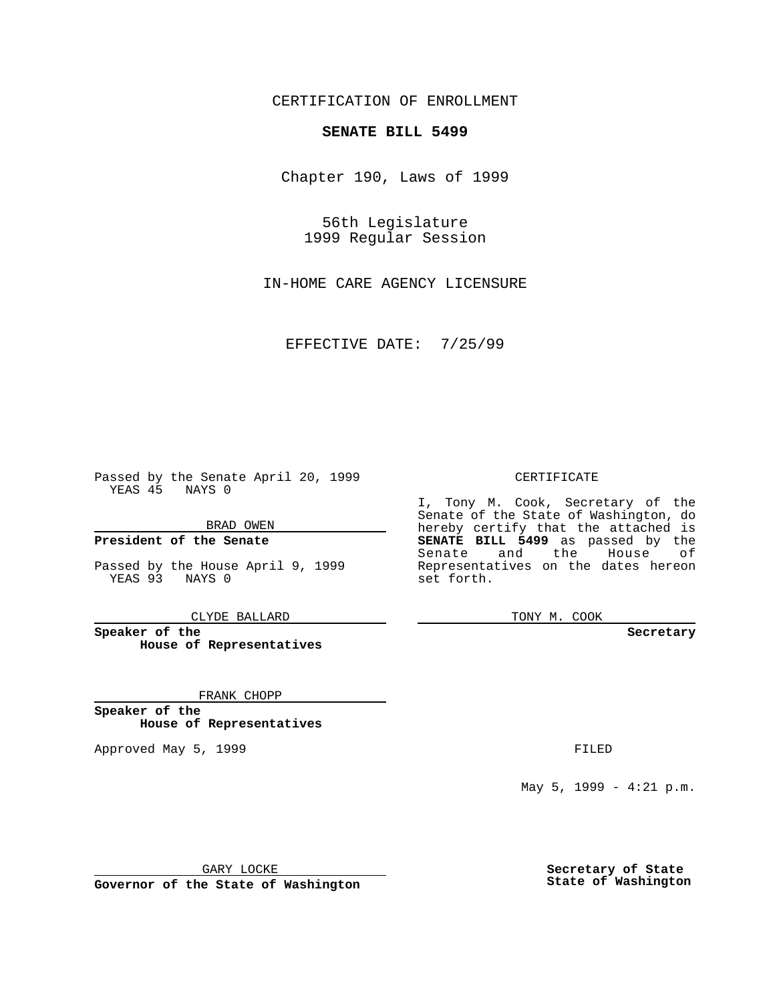CERTIFICATION OF ENROLLMENT

# **SENATE BILL 5499**

Chapter 190, Laws of 1999

56th Legislature 1999 Regular Session

IN-HOME CARE AGENCY LICENSURE

EFFECTIVE DATE: 7/25/99

Passed by the Senate April 20, 1999 YEAS 45 NAYS 0

BRAD OWEN

**President of the Senate**

Passed by the House April 9, 1999 YEAS 93 NAYS 0

CLYDE BALLARD

**Speaker of the House of Representatives**

FRANK CHOPP

**Speaker of the House of Representatives**

Approved May 5, 1999 **FILED** 

### CERTIFICATE

I, Tony M. Cook, Secretary of the Senate of the State of Washington, do hereby certify that the attached is **SENATE BILL 5499** as passed by the Senate and the House of Representatives on the dates hereon set forth.

TONY M. COOK

#### **Secretary**

May 5, 1999 - 4:21 p.m.

GARY LOCKE

**Governor of the State of Washington**

**Secretary of State State of Washington**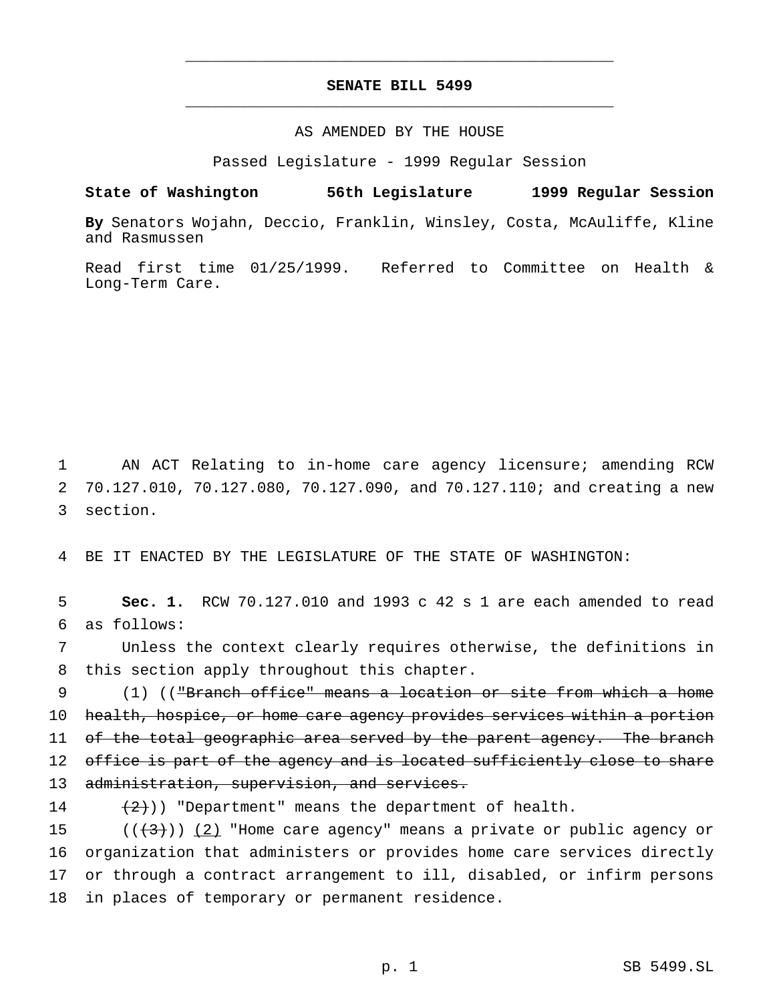## **SENATE BILL 5499** \_\_\_\_\_\_\_\_\_\_\_\_\_\_\_\_\_\_\_\_\_\_\_\_\_\_\_\_\_\_\_\_\_\_\_\_\_\_\_\_\_\_\_\_\_\_\_

\_\_\_\_\_\_\_\_\_\_\_\_\_\_\_\_\_\_\_\_\_\_\_\_\_\_\_\_\_\_\_\_\_\_\_\_\_\_\_\_\_\_\_\_\_\_\_

### AS AMENDED BY THE HOUSE

Passed Legislature - 1999 Regular Session

**State of Washington 56th Legislature 1999 Regular Session**

**By** Senators Wojahn, Deccio, Franklin, Winsley, Costa, McAuliffe, Kline and Rasmussen

Read first time 01/25/1999. Referred to Committee on Health & Long-Term Care.

1 AN ACT Relating to in-home care agency licensure; amending RCW 2 70.127.010, 70.127.080, 70.127.090, and 70.127.110; and creating a new 3 section.

4 BE IT ENACTED BY THE LEGISLATURE OF THE STATE OF WASHINGTON:

5 **Sec. 1.** RCW 70.127.010 and 1993 c 42 s 1 are each amended to read 6 as follows:

7 Unless the context clearly requires otherwise, the definitions in 8 this section apply throughout this chapter.

9 (1) (("Branch office" means a location or site from which a home 10 health, hospice, or home care agency provides services within a portion 11 of the total geographic area served by the parent agency. The branch 12 office is part of the agency and is located sufficiently close to share 13 administration, supervision, and services.

14  $(2)$ ) "Department" means the department of health.

 $((+3))$  (2) "Home care agency" means a private or public agency or organization that administers or provides home care services directly or through a contract arrangement to ill, disabled, or infirm persons in places of temporary or permanent residence.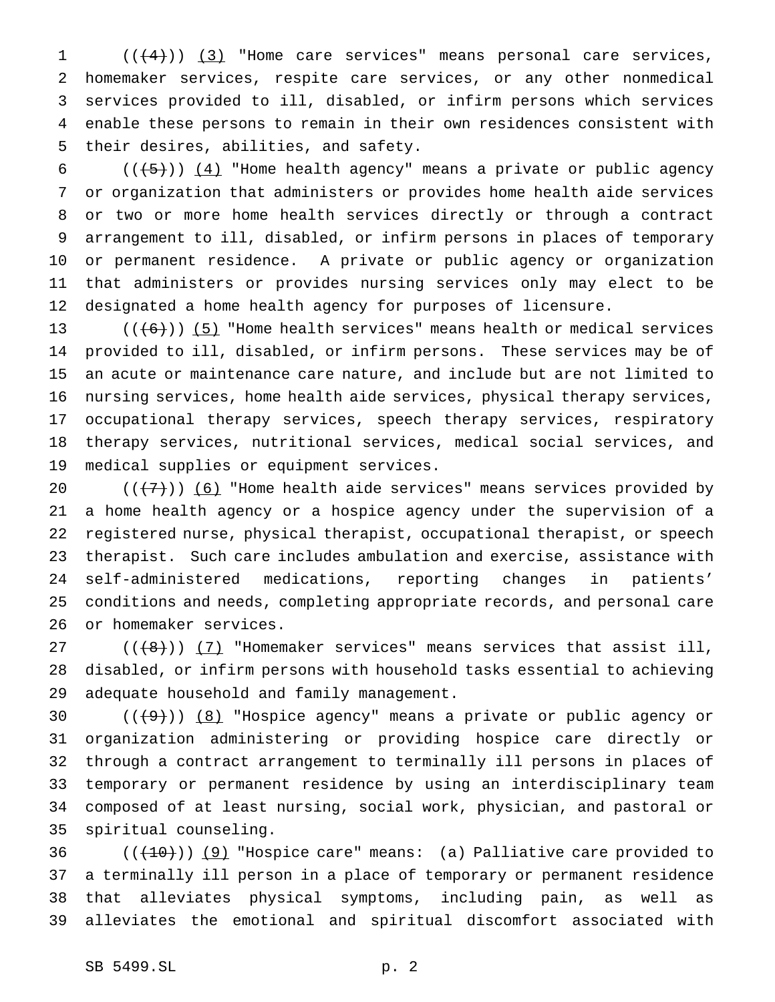$((+4))$   $(3)$  "Home care services" means personal care services, homemaker services, respite care services, or any other nonmedical services provided to ill, disabled, or infirm persons which services enable these persons to remain in their own residences consistent with their desires, abilities, and safety.

6 ( $(\overline{5})$ ) (4) "Home health agency" means a private or public agency or organization that administers or provides home health aide services or two or more home health services directly or through a contract arrangement to ill, disabled, or infirm persons in places of temporary or permanent residence. A private or public agency or organization that administers or provides nursing services only may elect to be designated a home health agency for purposes of licensure.

 $((+6))$  (5) "Home health services" means health or medical services provided to ill, disabled, or infirm persons. These services may be of an acute or maintenance care nature, and include but are not limited to nursing services, home health aide services, physical therapy services, occupational therapy services, speech therapy services, respiratory therapy services, nutritional services, medical social services, and medical supplies or equipment services.

 $((+7))$  (6) "Home health aide services" means services provided by a home health agency or a hospice agency under the supervision of a registered nurse, physical therapist, occupational therapist, or speech therapist. Such care includes ambulation and exercise, assistance with self-administered medications, reporting changes in patients' conditions and needs, completing appropriate records, and personal care or homemaker services.

 $((+8))$   $(7)$  "Homemaker services" means services that assist ill, disabled, or infirm persons with household tasks essential to achieving adequate household and family management.

 $((+9))$   $(8)$  "Hospice agency" means a private or public agency or organization administering or providing hospice care directly or through a contract arrangement to terminally ill persons in places of temporary or permanent residence by using an interdisciplinary team composed of at least nursing, social work, physician, and pastoral or spiritual counseling.

 $((+10))$   $(9)$  "Hospice care" means: (a) Palliative care provided to a terminally ill person in a place of temporary or permanent residence that alleviates physical symptoms, including pain, as well as alleviates the emotional and spiritual discomfort associated with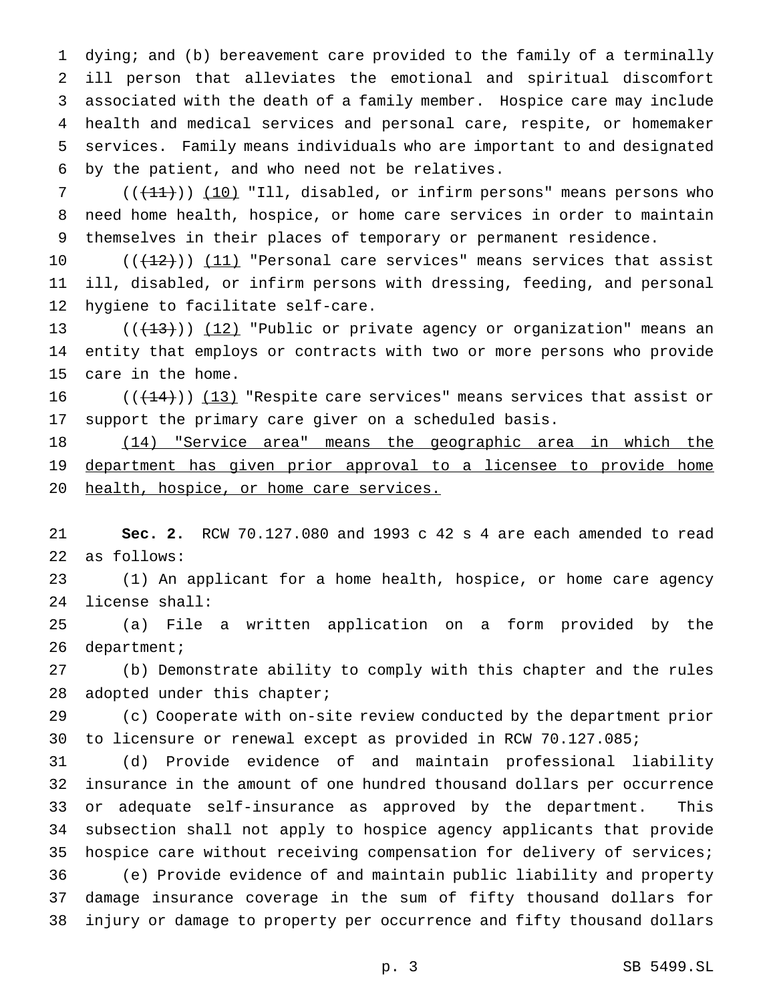dying; and (b) bereavement care provided to the family of a terminally ill person that alleviates the emotional and spiritual discomfort associated with the death of a family member. Hospice care may include health and medical services and personal care, respite, or homemaker services. Family means individuals who are important to and designated by the patient, and who need not be relatives.

7 (( $(11)$ )) (10) "Ill, disabled, or infirm persons" means persons who need home health, hospice, or home care services in order to maintain themselves in their places of temporary or permanent residence.

 $((+12))$   $(11)$  "Personal care services" means services that assist ill, disabled, or infirm persons with dressing, feeding, and personal hygiene to facilitate self-care.

13  $((+13))$   $(12)$  "Public or private agency or organization" means an entity that employs or contracts with two or more persons who provide care in the home.

16  $((+14))$   $(13)$  "Respite care services" means services that assist or support the primary care giver on a scheduled basis.

18 (14) "Service area" means the geographic area in which the 19 department has given prior approval to a licensee to provide home 20 health, hospice, or home care services.

 **Sec. 2.** RCW 70.127.080 and 1993 c 42 s 4 are each amended to read as follows:

 (1) An applicant for a home health, hospice, or home care agency license shall:

 (a) File a written application on a form provided by the department;

 (b) Demonstrate ability to comply with this chapter and the rules 28 adopted under this chapter;

 (c) Cooperate with on-site review conducted by the department prior to licensure or renewal except as provided in RCW 70.127.085;

 (d) Provide evidence of and maintain professional liability insurance in the amount of one hundred thousand dollars per occurrence or adequate self-insurance as approved by the department. This subsection shall not apply to hospice agency applicants that provide hospice care without receiving compensation for delivery of services; (e) Provide evidence of and maintain public liability and property damage insurance coverage in the sum of fifty thousand dollars for injury or damage to property per occurrence and fifty thousand dollars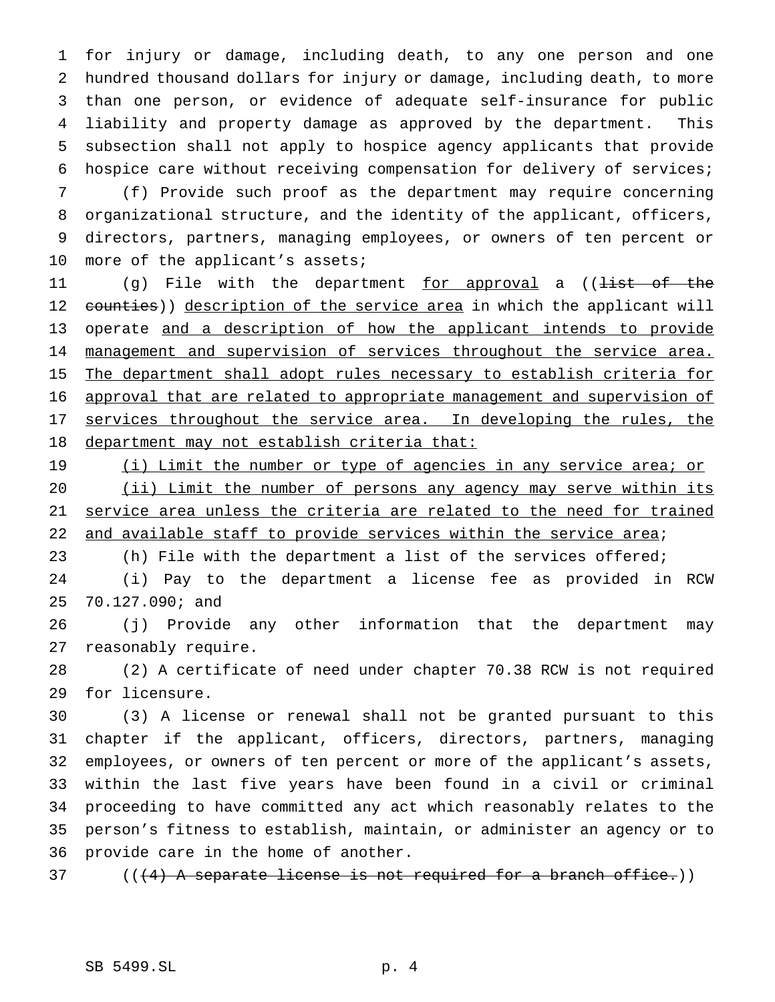for injury or damage, including death, to any one person and one hundred thousand dollars for injury or damage, including death, to more than one person, or evidence of adequate self-insurance for public liability and property damage as approved by the department. This subsection shall not apply to hospice agency applicants that provide hospice care without receiving compensation for delivery of services;

 (f) Provide such proof as the department may require concerning organizational structure, and the identity of the applicant, officers, directors, partners, managing employees, or owners of ten percent or 10 more of the applicant's assets;

11 (g) File with the department <u>for approval</u> a ((<del>list of the</del> 12 counties)) description of the service area in which the applicant will 13 operate and a description of how the applicant intends to provide 14 management and supervision of services throughout the service area. 15 The department shall adopt rules necessary to establish criteria for approval that are related to appropriate management and supervision of 17 services throughout the service area. In developing the rules, the 18 department may not establish criteria that:

19 (i) Limit the number or type of agencies in any service area; or 20 (ii) Limit the number of persons any agency may serve within its service area unless the criteria are related to the need for trained 22 and available staff to provide services within the service area;

 (h) File with the department a list of the services offered; (i) Pay to the department a license fee as provided in RCW 70.127.090; and

 (j) Provide any other information that the department may reasonably require.

 (2) A certificate of need under chapter 70.38 RCW is not required for licensure.

 (3) A license or renewal shall not be granted pursuant to this chapter if the applicant, officers, directors, partners, managing employees, or owners of ten percent or more of the applicant's assets, within the last five years have been found in a civil or criminal proceeding to have committed any act which reasonably relates to the person's fitness to establish, maintain, or administer an agency or to provide care in the home of another.

37 (((4) A separate license is not required for a branch office.))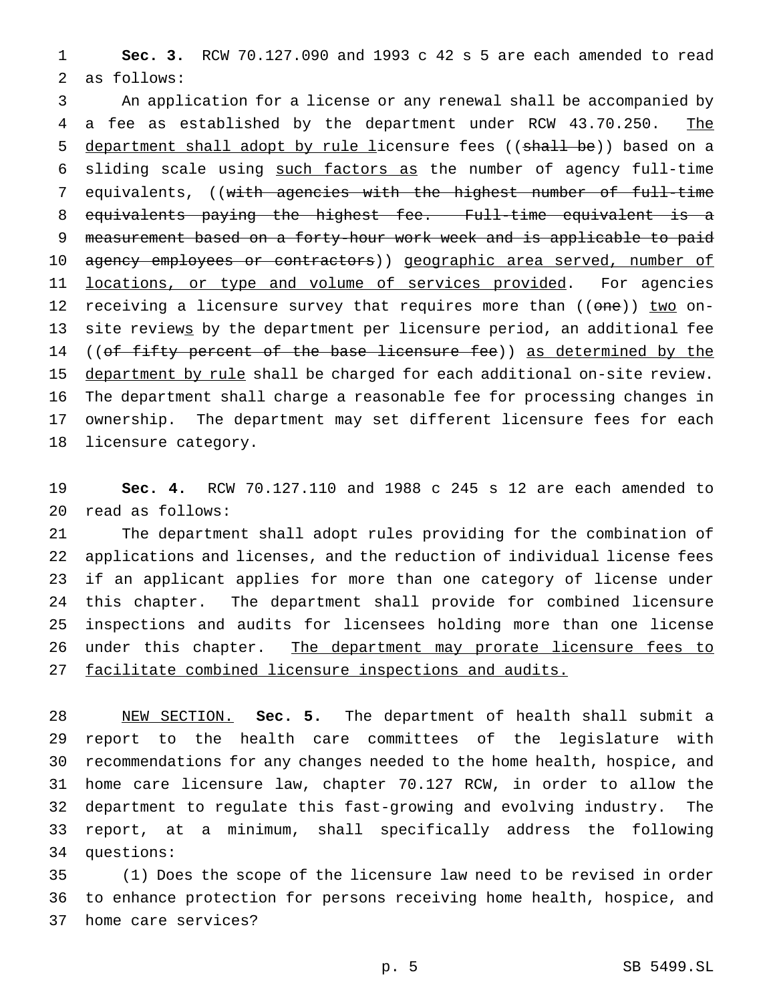**Sec. 3.** RCW 70.127.090 and 1993 c 42 s 5 are each amended to read as follows:

 An application for a license or any renewal shall be accompanied by 4 a fee as established by the department under RCW 43.70.250. The 5 department shall adopt by rule licensure fees ((shall be)) based on a sliding scale using such factors as the number of agency full-time equivalents, ((with agencies with the highest number of full-time equivalents paying the highest fee. Full-time equivalent is a measurement based on a forty-hour work week and is applicable to paid 10 agency employees or contractors)) geographic area served, number of 11 locations, or type and volume of services provided. For agencies 12 receiving a licensure survey that requires more than ((one)) two on-13 site reviews by the department per licensure period, an additional fee 14 ((of fifty percent of the base licensure fee)) as determined by the 15 department by rule shall be charged for each additional on-site review. The department shall charge a reasonable fee for processing changes in ownership. The department may set different licensure fees for each licensure category.

 **Sec. 4.** RCW 70.127.110 and 1988 c 245 s 12 are each amended to read as follows:

 The department shall adopt rules providing for the combination of applications and licenses, and the reduction of individual license fees if an applicant applies for more than one category of license under this chapter. The department shall provide for combined licensure inspections and audits for licensees holding more than one license under this chapter. The department may prorate licensure fees to facilitate combined licensure inspections and audits.

 NEW SECTION. **Sec. 5.** The department of health shall submit a report to the health care committees of the legislature with recommendations for any changes needed to the home health, hospice, and home care licensure law, chapter 70.127 RCW, in order to allow the department to regulate this fast-growing and evolving industry. The report, at a minimum, shall specifically address the following questions:

 (1) Does the scope of the licensure law need to be revised in order to enhance protection for persons receiving home health, hospice, and home care services?